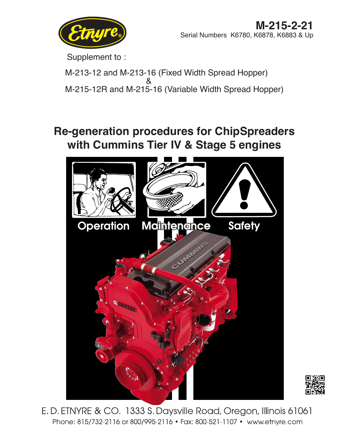

Supplement to :

M-213-12 and M-213-16 (Fixed Width Spread Hopper) & M-215-12R and M-215-16 (Variable Width Spread Hopper)

# **Re-generation procedures for ChipSpreaders with Cummins Tier IV & Stage 5 engines**





E.D. ETNYRE & CO. 1333 S. Daysville Road, Oregon, Illinois 61061 Phone: 815/732-2116 or 800/995-2116 • Fax: 800-521-1107 • www.etnyre.com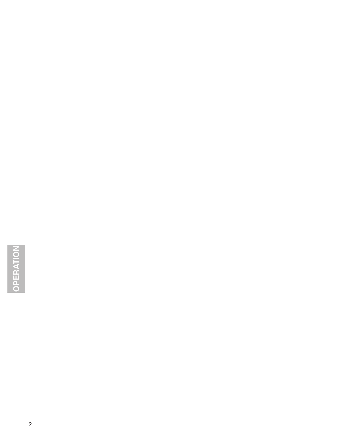# OPERATION **OPERATION**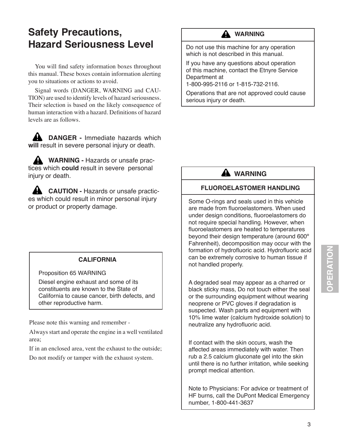# **Safety Precautions, Hazard Seriousness Level**

You will find safety information boxes throughout this manual. These boxes contain information alerting you to situations or actions to avoid.

Signal words (DANGER, WARNING and CAU-TION) are used to identify levels of hazard seriousness. Their selection is based on the likely consequence of human interaction with a hazard. Definitions of hazard levels are as follows.

**A DANGER** - Immediate hazards which **will** result in severe personal injury or death.

**A** WARNING - Hazards or unsafe practices which **could** result in severe personal injury or death.

**CAUTION - Hazards or unsafe practic**es which could result in minor personal injury or product or property damage.

# **CALIFORNIA**

Proposition 65 WARNING

Diesel engine exhaust and some of its constituents are known to the State of California to cause cancer, birth defects, and other reproductive harm.

Please note this warning and remember -

Always start and operate the engine in a well ventilated area;

If in an enclosed area, vent the exhaust to the outside;

Do not modify or tamper with the exhaust system.

# **A** WARNING

Do not use this machine for any operation which is not described in this manual.

If you have any questions about operation of this machine, contact the Etnyre Service Department at

1-800-995-2116 or 1-815-732-2116.

Operations that are not approved could cause serious injury or death.

# **A** WARNING

# **FLUOROELASTOMER HANDLING**

Some O-rings and seals used in this vehicle are made from fluoroelastomers. When used under design conditions, fluoroelastomers do not require special handling. However, when fluoroelastomers are heated to temperatures beyond their design temperature (around 600º Fahrenheit), decomposition may occur with the formation of hydrofluoric acid. Hydrofluoric acid can be extremely corrosive to human tissue if not handled properly.

A degraded seal may appear as a charred or black sticky mass, Do not touch either the seal or the surrounding equipment without wearing neoprene or PVC gloves if degradation is suspected. Wash parts and equipment with 10% lime water (calcium hydroxide solution) to neutralize any hydrofluoric acid.

If contact with the skin occurs, wash the affected areas immediately with water. Then rub a 2.5 calcium gluconate gel into the skin until there is no further irritation, while seeking prompt medical attention.

Note to Physicians: For advice or treatment of HF burns, call the DuPont Medical Emergency number, 1-800-441-3637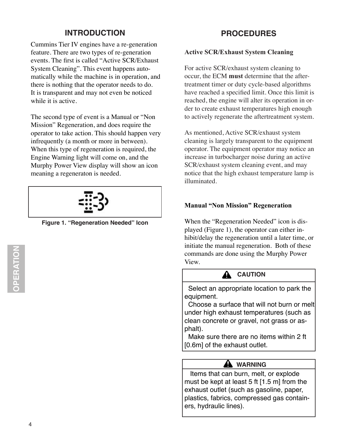# **INTRODUCTION**

Cummins Tier IV engines have a re-generation feature. There are two types of re-generation events. The first is called "Active SCR/Exhaust System Cleaning". This event happens automatically while the machine is in operation, and there is nothing that the operator needs to do. It is transparent and may not even be noticed while it is active.

The second type of event is a Manual or "Non Mission" Regeneration, and does require the operator to take action. This should happen very infrequently (a month or more in between). When this type of regeneration is required, the Engine Warning light will come on, and the Murphy Power View display will show an icon meaning a regeneraton is needed.



**Figure 1. "Regeneration Needed" Icon**

# **OPERATION**

# **PROCEDURES**

### **Active SCR/Exhaust System Cleaning**

For active SCR/exhaust system cleaning to occur, the ECM **must** determine that the aftertreatment timer or duty cycle-based algorithms have reached a specified limit. Once this limit is reached, the engine will alter its operation in order to create exhaust temperatures high enough to actively regenerate the aftertreatment system.

As mentioned, Active SCR/exhaust system cleaning is largely transparent to the equipment operator. The equipment operator may notice an increase in turbocharger noise during an active SCR/exhaust system cleaning event, and may notice that the high exhaust temperature lamp is illuminated.

## **Manual "Non Mission" Regeneration**

When the "Regeneration Needed" icon is displayed (Figure 1), the operator can either inhibit/delay the regeneration until a later time, or initiate the manual regeneration. Both of these commands are done using the Murphy Power View.

# **A** CAUTION

 Select an appropriate location to park the equipment.

 Choose a surface that will not burn or melt under high exhaust temperatures (such as clean concrete or gravel, not grass or asphalt).

 Make sure there are no items within 2 ft [0.6m] of the exhaust outlet.

# A WARNING

 Items that can burn, melt, or explode must be kept at least 5 ft [1.5 m] from the exhaust outlet (such as gasoline, paper, plastics, fabrics, compressed gas containers, hydraulic lines).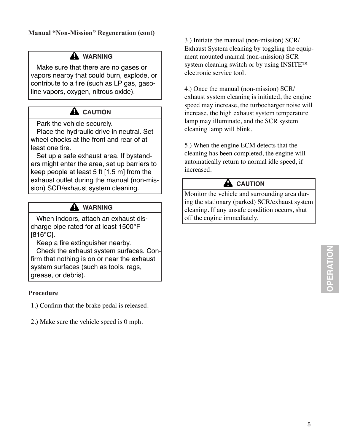# **A** WARNING

 Make sure that there are no gases or vapors nearby that could burn, explode, or contribute to a fire (such as LP gas, gasoline vapors, oxygen, nitrous oxide).

# **A** CAUTION

Park the vehicle securely.

 Place the hydraulic drive in neutral. Set wheel chocks at the front and rear of at least one tire.

 Set up a safe exhaust area. If bystanders might enter the area, set up barriers to keep people at least 5 ft [1.5 m] from the exhaust outlet during the manual (non-mission) SCR/exhaust system cleaning.

# **A** WARNING

 When indoors, attach an exhaust discharge pipe rated for at least 1500°F [816°C].

Keep a fire extinguisher nearby.

 Check the exhaust system surfaces. Confirm that nothing is on or near the exhaust system surfaces (such as tools, rags, grease, or debris).

# **Procedure**

- 1.) Confirm that the brake pedal is released.
- 2.) Make sure the vehicle speed is 0 mph.

3.) Initiate the manual (non-mission) SCR/ Exhaust System cleaning by toggling the equipment mounted manual (non-mission) SCR system cleaning switch or by using INSITE™ electronic service tool.

4.) Once the manual (non-mission) SCR/ exhaust system cleaning is initiated, the engine speed may increase, the turbocharger noise will increase, the high exhaust system temperature lamp may illuminate, and the SCR system cleaning lamp will blink.

5.) When the engine ECM detects that the cleaning has been completed, the engine will automatically return to normal idle speed, if increased.

# A CAUTION

Monitor the vehicle and surrounding area during the stationary (parked) SCR/exhaust system cleaning. If any unsafe condition occurs, shut off the engine immediately.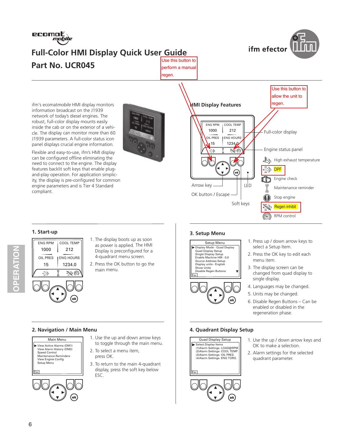

#### **1. Start-up**

**OPERATION** 



- 1. The display boots up as soon as power is applied. The HMI Display is preconfigured for <sup>a</sup> 4-quadrant menu screen.
- 2. Press the OK button to go the main menu.

#### **3. Setup Menu**



- 1. Press up / down arrow keys to select a Setup Item.
- 2. Press the OK key to edit each menu item.
- 3. The display screen can be changed from quad display to single display.
- 4. Languages may be changed.
- 5. Units may be changed.
- 6. Disable Regen Buttons Can be enabled or disabled in the regeneration phase.

#### **2. Navigation / Main Menu**



- 1. Use the up and down arrow keys to toggle through the main menu. 2. To select a menu item,
- press OK.
- 3. To return to the main 4-quadrant display, press the soft key below ESC.

#### **4. Quadrant Display Setup**



- 1. Use the up / down arrow keys and OK to make a selection.
- 2. Alarm settings for the selected quadrant parameter.